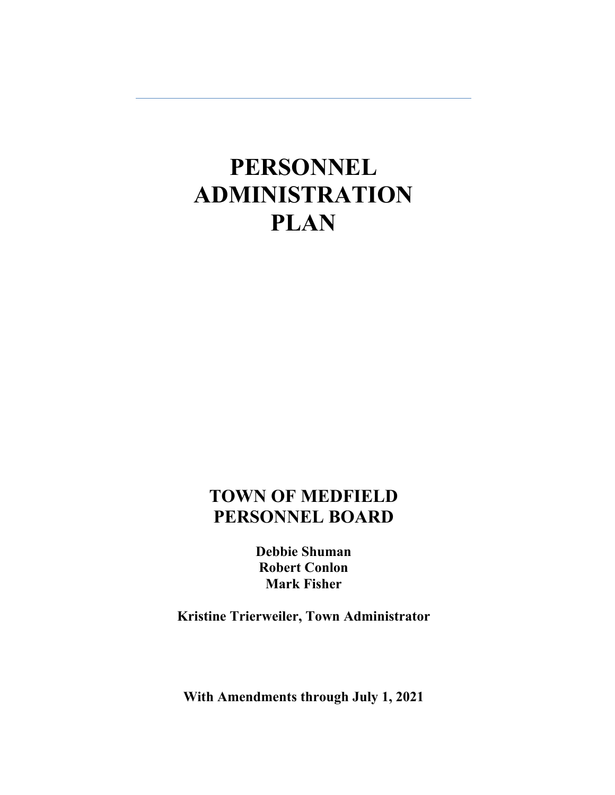# **PERSONNEL ADMINISTRATION PLAN**

# **TOWN OF MEDFIELD PERSONNEL BOARD**

**Debbie Shuman Robert Conlon Mark Fisher** 

**Kristine Trierweiler, Town Administrator** 

**With Amendments through July 1, 2021**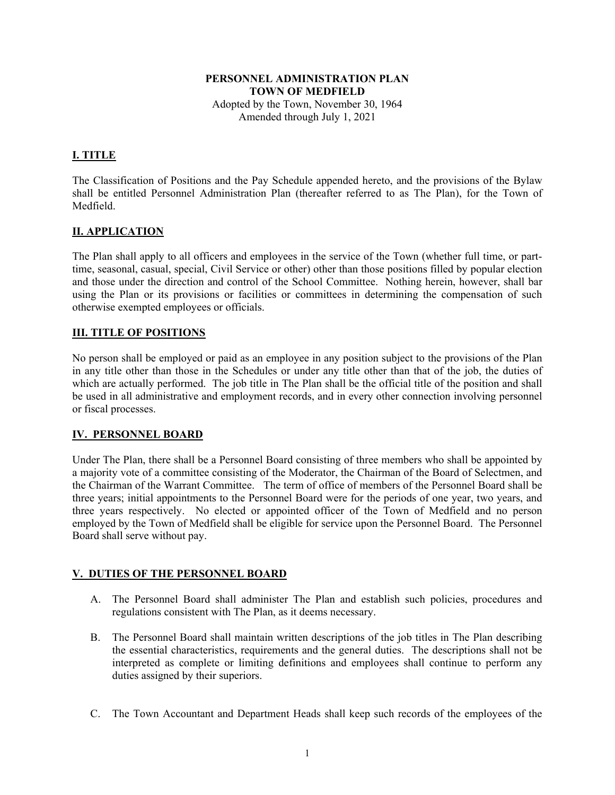#### **PERSONNEL ADMINISTRATION PLAN TOWN OF MEDFIELD**  Adopted by the Town, November 30, 1964 Amended through July 1, 2021

#### **I. TITLE**

The Classification of Positions and the Pay Schedule appended hereto, and the provisions of the Bylaw shall be entitled Personnel Administration Plan (thereafter referred to as The Plan), for the Town of Medfield.

#### **II. APPLICATION**

The Plan shall apply to all officers and employees in the service of the Town (whether full time, or parttime, seasonal, casual, special, Civil Service or other) other than those positions filled by popular election and those under the direction and control of the School Committee. Nothing herein, however, shall bar using the Plan or its provisions or facilities or committees in determining the compensation of such otherwise exempted employees or officials.

#### **III. TITLE OF POSITIONS**

No person shall be employed or paid as an employee in any position subject to the provisions of the Plan in any title other than those in the Schedules or under any title other than that of the job, the duties of which are actually performed. The job title in The Plan shall be the official title of the position and shall be used in all administrative and employment records, and in every other connection involving personnel or fiscal processes.

#### **IV. PERSONNEL BOARD**

Under The Plan, there shall be a Personnel Board consisting of three members who shall be appointed by a majority vote of a committee consisting of the Moderator, the Chairman of the Board of Selectmen, and the Chairman of the Warrant Committee. The term of office of members of the Personnel Board shall be three years; initial appointments to the Personnel Board were for the periods of one year, two years, and three years respectively. No elected or appointed officer of the Town of Medfield and no person employed by the Town of Medfield shall be eligible for service upon the Personnel Board. The Personnel Board shall serve without pay.

#### **V. DUTIES OF THE PERSONNEL BOARD**

- A. The Personnel Board shall administer The Plan and establish such policies, procedures and regulations consistent with The Plan, as it deems necessary.
- B. The Personnel Board shall maintain written descriptions of the job titles in The Plan describing the essential characteristics, requirements and the general duties. The descriptions shall not be interpreted as complete or limiting definitions and employees shall continue to perform any duties assigned by their superiors.
- C. The Town Accountant and Department Heads shall keep such records of the employees of the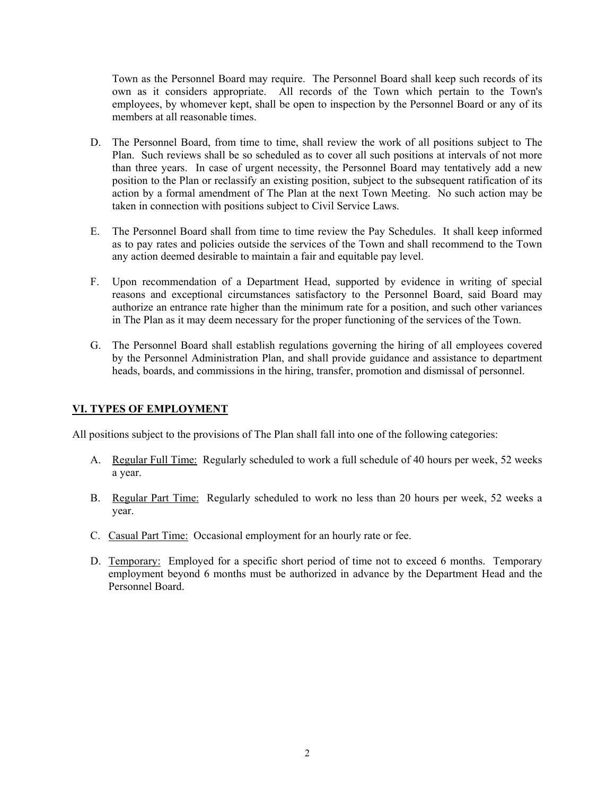Town as the Personnel Board may require. The Personnel Board shall keep such records of its own as it considers appropriate. All records of the Town which pertain to the Town's employees, by whomever kept, shall be open to inspection by the Personnel Board or any of its members at all reasonable times.

- D. The Personnel Board, from time to time, shall review the work of all positions subject to The Plan. Such reviews shall be so scheduled as to cover all such positions at intervals of not more than three years. In case of urgent necessity, the Personnel Board may tentatively add a new position to the Plan or reclassify an existing position, subject to the subsequent ratification of its action by a formal amendment of The Plan at the next Town Meeting. No such action may be taken in connection with positions subject to Civil Service Laws.
- E. The Personnel Board shall from time to time review the Pay Schedules. It shall keep informed as to pay rates and policies outside the services of the Town and shall recommend to the Town any action deemed desirable to maintain a fair and equitable pay level.
- F. Upon recommendation of a Department Head, supported by evidence in writing of special reasons and exceptional circumstances satisfactory to the Personnel Board, said Board may authorize an entrance rate higher than the minimum rate for a position, and such other variances in The Plan as it may deem necessary for the proper functioning of the services of the Town.
- G. The Personnel Board shall establish regulations governing the hiring of all employees covered by the Personnel Administration Plan, and shall provide guidance and assistance to department heads, boards, and commissions in the hiring, transfer, promotion and dismissal of personnel.

#### **VI. TYPES OF EMPLOYMENT**

All positions subject to the provisions of The Plan shall fall into one of the following categories:

- A. Regular Full Time: Regularly scheduled to work a full schedule of 40 hours per week, 52 weeks a year.
- B. Regular Part Time: Regularly scheduled to work no less than 20 hours per week, 52 weeks a year.
- C. Casual Part Time: Occasional employment for an hourly rate or fee.
- D. Temporary: Employed for a specific short period of time not to exceed 6 months. Temporary employment beyond 6 months must be authorized in advance by the Department Head and the Personnel Board.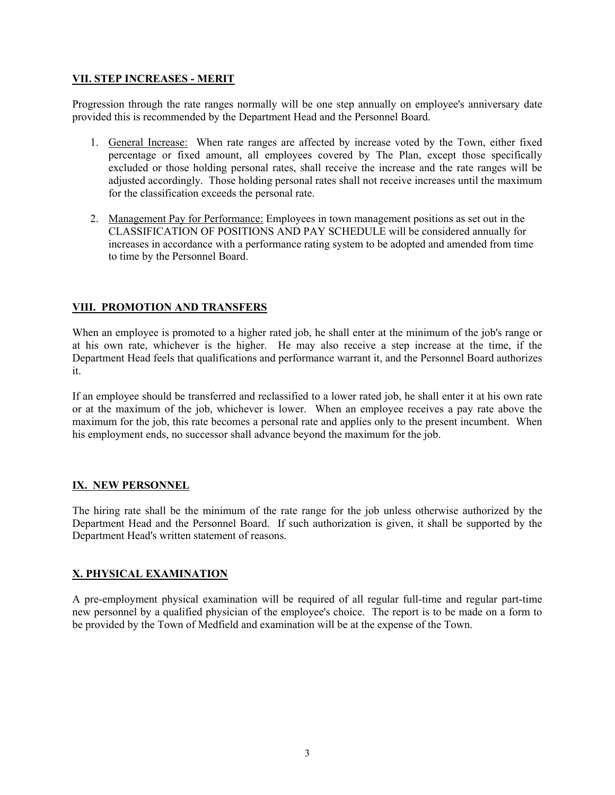#### **VII. STEP INCREASES - MERIT**

Progression through the rate ranges normally will be one step annually on employee's anniversary date provided this is recommended by the Department Head and the Personnel Board.

- 1. General Increase: When rate ranges are affected by increase voted by the Town, either fixed percentage or fixed amount, all employees covered by The Plan, except those specifically excluded or those holding personal rates, shall receive the increase and the rate ranges will be adjusted accordingly. Those holding personal rates shall not receive increases until the maximum for the classification exceeds the personal rate.
- 2. Management Pay for Performance: Employees in town management positions as set out in the CLASSIFICATION OF POSITIONS AND PAY SCHEDULE will be considered annually for increases in accordance with a performance rating system to be adopted and amended from time to time by the Personnel Board.

#### **VIII. PROMOTION AND TRANSFERS**

When an employee is promoted to a higher rated job, he shall enter at the minimum of the job's range or at his own rate, whichever is the higher. He may also receive a step increase at the time, if the Department Head feels that qualifications and performance warrant it, and the Personnel Board authorizes it.

If an employee should be transferred and reclassified to a lower rated job, he shall enter it at his own rate or at the maximum of the job, whichever is lower. When an employee receives a pay rate above the maximum for the job, this rate becomes a personal rate and applies only to the present incumbent. When his employment ends, no successor shall advance beyond the maximum for the job.

#### **IX. NEW PERSONNEL**

The hiring rate shall be the minimum of the rate range for the job unless otherwise authorized by the Department Head and the Personnel Board. If such authorization is given, it shall be supported by the Department Head's written statement of reasons.

#### **X. PHYSICAL EXAMINATION**

A pre-employment physical examination will be required of all regular full-time and regular part-time new personnel by a qualified physician of the employee's choice. The report is to be made on a form to be provided by the Town of Medfield and examination will be at the expense of the Town.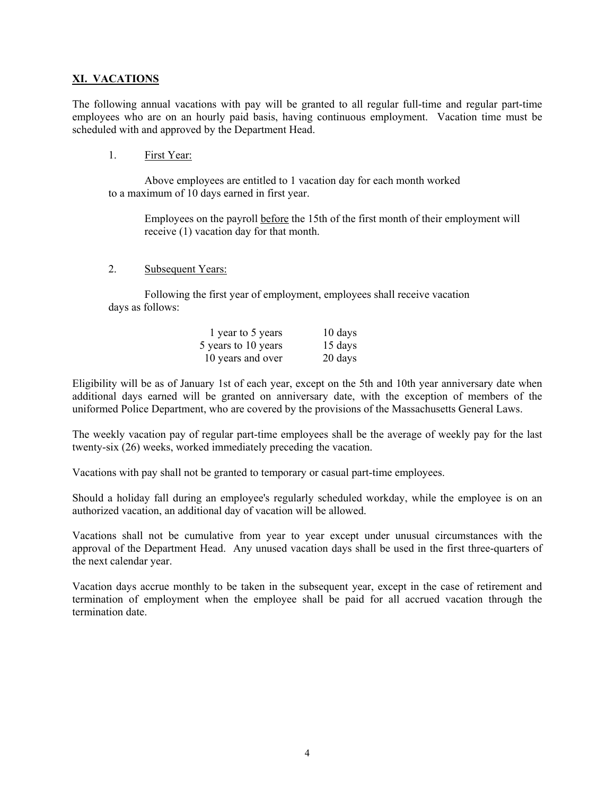#### **XI. VACATIONS**

The following annual vacations with pay will be granted to all regular full-time and regular part-time employees who are on an hourly paid basis, having continuous employment. Vacation time must be scheduled with and approved by the Department Head.

1. First Year:

 Above employees are entitled to 1 vacation day for each month worked to a maximum of 10 days earned in first year.

Employees on the payroll before the 15th of the first month of their employment will receive (1) vacation day for that month.

2. Subsequent Years:

 Following the first year of employment, employees shall receive vacation days as follows:

| 1 year to 5 years   | 10 days           |
|---------------------|-------------------|
| 5 years to 10 years | $15 \text{ days}$ |
| 10 years and over   | 20 days           |

Eligibility will be as of January 1st of each year, except on the 5th and 10th year anniversary date when additional days earned will be granted on anniversary date, with the exception of members of the uniformed Police Department, who are covered by the provisions of the Massachusetts General Laws.

The weekly vacation pay of regular part-time employees shall be the average of weekly pay for the last twenty-six (26) weeks, worked immediately preceding the vacation.

Vacations with pay shall not be granted to temporary or casual part-time employees.

Should a holiday fall during an employee's regularly scheduled workday, while the employee is on an authorized vacation, an additional day of vacation will be allowed.

Vacations shall not be cumulative from year to year except under unusual circumstances with the approval of the Department Head. Any unused vacation days shall be used in the first three-quarters of the next calendar year.

Vacation days accrue monthly to be taken in the subsequent year, except in the case of retirement and termination of employment when the employee shall be paid for all accrued vacation through the termination date.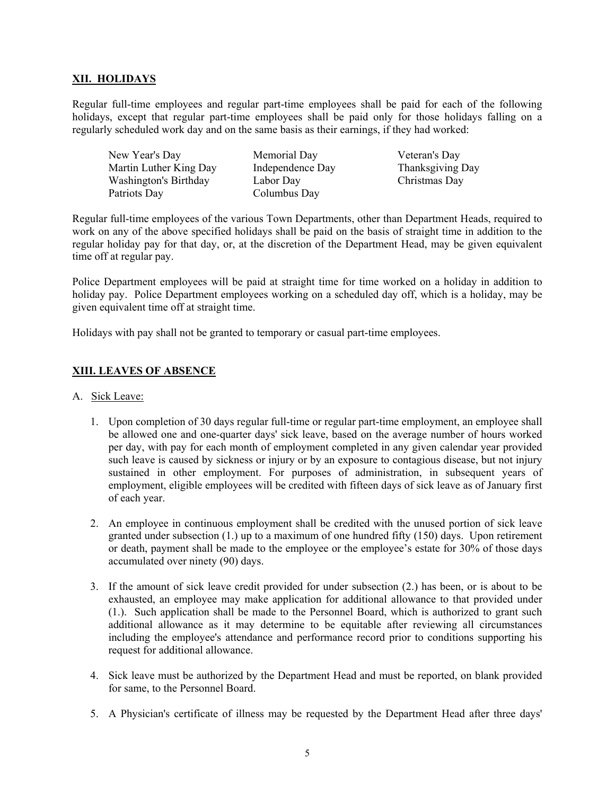#### **XII. HOLIDAYS**

Regular full-time employees and regular part-time employees shall be paid for each of the following holidays, except that regular part-time employees shall be paid only for those holidays falling on a regularly scheduled work day and on the same basis as their earnings, if they had worked:

New Year's Day Memorial Day Veteran's Day Martin Luther King Day Independence Day Thanksgiving Day Washington's Birthday Labor Day Christmas Day Patriots Day Columbus Day

Regular full-time employees of the various Town Departments, other than Department Heads, required to work on any of the above specified holidays shall be paid on the basis of straight time in addition to the regular holiday pay for that day, or, at the discretion of the Department Head, may be given equivalent time off at regular pay.

Police Department employees will be paid at straight time for time worked on a holiday in addition to holiday pay. Police Department employees working on a scheduled day off, which is a holiday, may be given equivalent time off at straight time.

Holidays with pay shall not be granted to temporary or casual part-time employees.

#### **XIII. LEAVES OF ABSENCE**

#### A. Sick Leave:

- 1. Upon completion of 30 days regular full-time or regular part-time employment, an employee shall be allowed one and one-quarter days' sick leave, based on the average number of hours worked per day, with pay for each month of employment completed in any given calendar year provided such leave is caused by sickness or injury or by an exposure to contagious disease, but not injury sustained in other employment. For purposes of administration, in subsequent years of employment, eligible employees will be credited with fifteen days of sick leave as of January first of each year.
- 2. An employee in continuous employment shall be credited with the unused portion of sick leave granted under subsection (1.) up to a maximum of one hundred fifty (150) days. Upon retirement or death, payment shall be made to the employee or the employee's estate for 30% of those days accumulated over ninety (90) days.
- 3. If the amount of sick leave credit provided for under subsection (2.) has been, or is about to be exhausted, an employee may make application for additional allowance to that provided under (1.). Such application shall be made to the Personnel Board, which is authorized to grant such additional allowance as it may determine to be equitable after reviewing all circumstances including the employee's attendance and performance record prior to conditions supporting his request for additional allowance.
- 4. Sick leave must be authorized by the Department Head and must be reported, on blank provided for same, to the Personnel Board.
- 5. A Physician's certificate of illness may be requested by the Department Head after three days'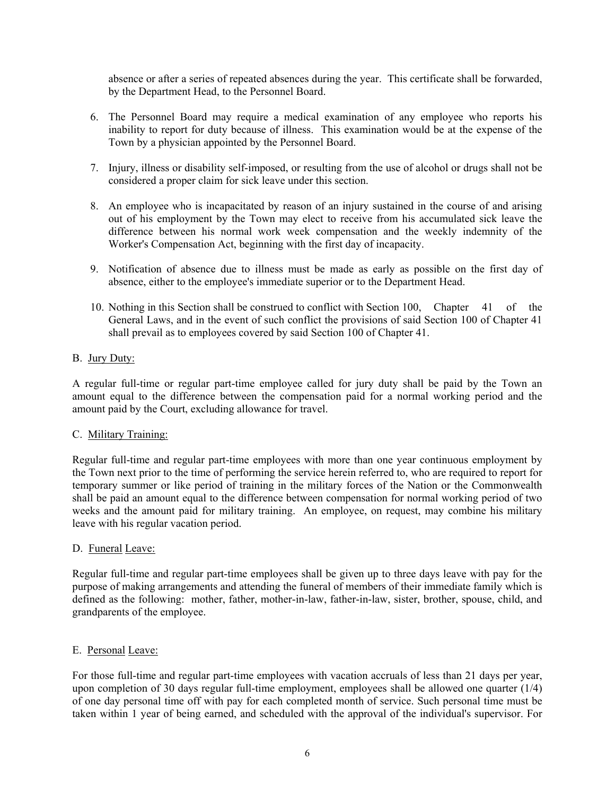absence or after a series of repeated absences during the year. This certificate shall be forwarded, by the Department Head, to the Personnel Board.

- 6. The Personnel Board may require a medical examination of any employee who reports his inability to report for duty because of illness. This examination would be at the expense of the Town by a physician appointed by the Personnel Board.
- 7. Injury, illness or disability self-imposed, or resulting from the use of alcohol or drugs shall not be considered a proper claim for sick leave under this section.
- 8. An employee who is incapacitated by reason of an injury sustained in the course of and arising out of his employment by the Town may elect to receive from his accumulated sick leave the difference between his normal work week compensation and the weekly indemnity of the Worker's Compensation Act, beginning with the first day of incapacity.
- 9. Notification of absence due to illness must be made as early as possible on the first day of absence, either to the employee's immediate superior or to the Department Head.
- 10. Nothing in this Section shall be construed to conflict with Section 100, Chapter 41 of the General Laws, and in the event of such conflict the provisions of said Section 100 of Chapter 41 shall prevail as to employees covered by said Section 100 of Chapter 41.

#### B. Jury Duty:

A regular full-time or regular part-time employee called for jury duty shall be paid by the Town an amount equal to the difference between the compensation paid for a normal working period and the amount paid by the Court, excluding allowance for travel.

#### C. Military Training:

Regular full-time and regular part-time employees with more than one year continuous employment by the Town next prior to the time of performing the service herein referred to, who are required to report for temporary summer or like period of training in the military forces of the Nation or the Commonwealth shall be paid an amount equal to the difference between compensation for normal working period of two weeks and the amount paid for military training. An employee, on request, may combine his military leave with his regular vacation period.

#### D. Funeral Leave:

Regular full-time and regular part-time employees shall be given up to three days leave with pay for the purpose of making arrangements and attending the funeral of members of their immediate family which is defined as the following: mother, father, mother-in-law, father-in-law, sister, brother, spouse, child, and grandparents of the employee.

#### E. Personal Leave:

For those full-time and regular part-time employees with vacation accruals of less than 21 days per year, upon completion of 30 days regular full-time employment, employees shall be allowed one quarter (1/4) of one day personal time off with pay for each completed month of service. Such personal time must be taken within 1 year of being earned, and scheduled with the approval of the individual's supervisor. For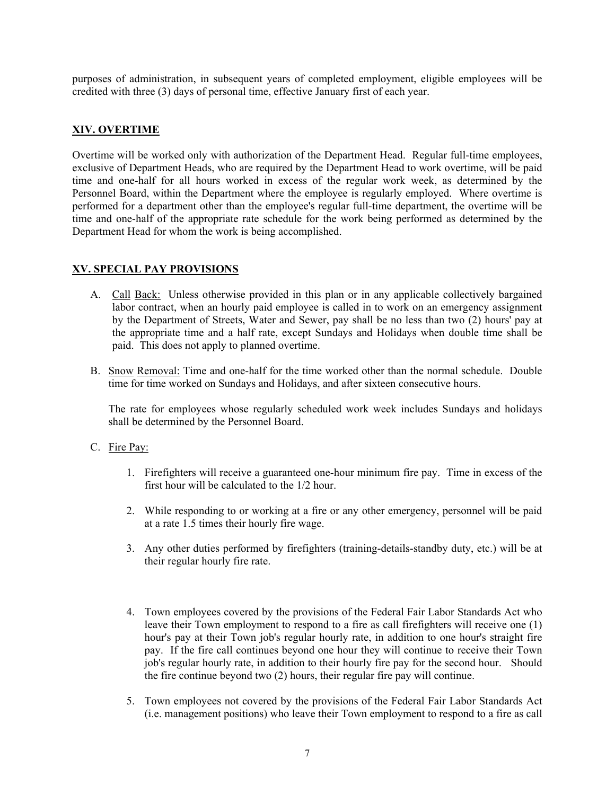purposes of administration, in subsequent years of completed employment, eligible employees will be credited with three (3) days of personal time, effective January first of each year.

#### **XIV. OVERTIME**

Overtime will be worked only with authorization of the Department Head. Regular full-time employees, exclusive of Department Heads, who are required by the Department Head to work overtime, will be paid time and one-half for all hours worked in excess of the regular work week, as determined by the Personnel Board, within the Department where the employee is regularly employed. Where overtime is performed for a department other than the employee's regular full-time department, the overtime will be time and one-half of the appropriate rate schedule for the work being performed as determined by the Department Head for whom the work is being accomplished.

#### **XV. SPECIAL PAY PROVISIONS**

- A. Call Back: Unless otherwise provided in this plan or in any applicable collectively bargained labor contract, when an hourly paid employee is called in to work on an emergency assignment by the Department of Streets, Water and Sewer, pay shall be no less than two (2) hours' pay at the appropriate time and a half rate, except Sundays and Holidays when double time shall be paid. This does not apply to planned overtime.
- B. Snow Removal: Time and one-half for the time worked other than the normal schedule. Double time for time worked on Sundays and Holidays, and after sixteen consecutive hours.

The rate for employees whose regularly scheduled work week includes Sundays and holidays shall be determined by the Personnel Board.

- C. Fire Pay:
	- 1. Firefighters will receive a guaranteed one-hour minimum fire pay. Time in excess of the first hour will be calculated to the 1/2 hour.
	- 2. While responding to or working at a fire or any other emergency, personnel will be paid at a rate 1.5 times their hourly fire wage.
	- 3. Any other duties performed by firefighters (training-details-standby duty, etc.) will be at their regular hourly fire rate.
	- 4. Town employees covered by the provisions of the Federal Fair Labor Standards Act who leave their Town employment to respond to a fire as call firefighters will receive one (1) hour's pay at their Town job's regular hourly rate, in addition to one hour's straight fire pay. If the fire call continues beyond one hour they will continue to receive their Town job's regular hourly rate, in addition to their hourly fire pay for the second hour. Should the fire continue beyond two (2) hours, their regular fire pay will continue.
	- 5. Town employees not covered by the provisions of the Federal Fair Labor Standards Act (i.e. management positions) who leave their Town employment to respond to a fire as call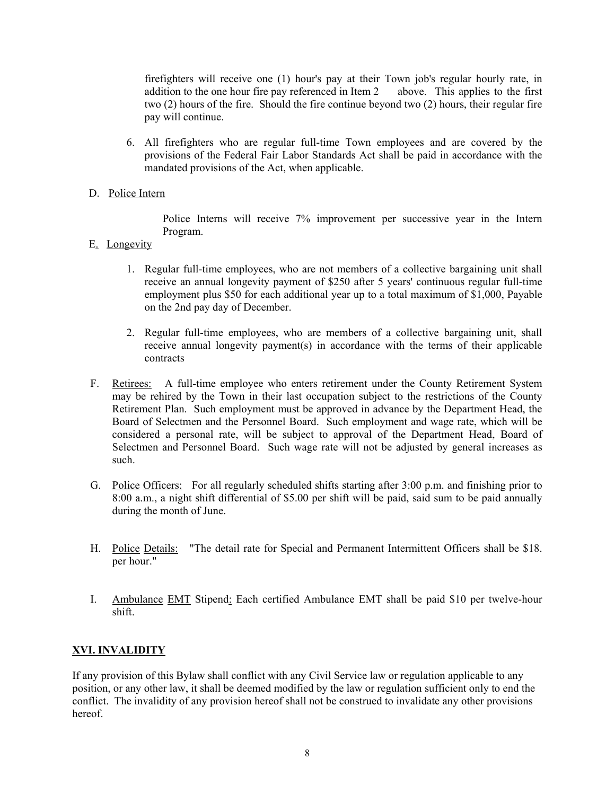firefighters will receive one (1) hour's pay at their Town job's regular hourly rate, in addition to the one hour fire pay referenced in Item 2 above. This applies to the first two (2) hours of the fire. Should the fire continue beyond two (2) hours, their regular fire pay will continue.

6. All firefighters who are regular full-time Town employees and are covered by the provisions of the Federal Fair Labor Standards Act shall be paid in accordance with the mandated provisions of the Act, when applicable.

#### D. Police Intern

Police Interns will receive 7% improvement per successive year in the Intern Program.

- E. Longevity
	- 1. Regular full-time employees, who are not members of a collective bargaining unit shall receive an annual longevity payment of \$250 after 5 years' continuous regular full-time employment plus \$50 for each additional year up to a total maximum of \$1,000, Payable on the 2nd pay day of December.
	- 2. Regular full-time employees, who are members of a collective bargaining unit, shall receive annual longevity payment(s) in accordance with the terms of their applicable contracts
- F. Retirees: A full-time employee who enters retirement under the County Retirement System may be rehired by the Town in their last occupation subject to the restrictions of the County Retirement Plan. Such employment must be approved in advance by the Department Head, the Board of Selectmen and the Personnel Board. Such employment and wage rate, which will be considered a personal rate, will be subject to approval of the Department Head, Board of Selectmen and Personnel Board. Such wage rate will not be adjusted by general increases as such.
- G. Police Officers: For all regularly scheduled shifts starting after 3:00 p.m. and finishing prior to 8:00 a.m., a night shift differential of \$5.00 per shift will be paid, said sum to be paid annually during the month of June.
- H. Police Details: "The detail rate for Special and Permanent Intermittent Officers shall be \$18. per hour."
- I. Ambulance EMT Stipend: Each certified Ambulance EMT shall be paid \$10 per twelve-hour shift.

#### **XVI. INVALIDITY**

If any provision of this Bylaw shall conflict with any Civil Service law or regulation applicable to any position, or any other law, it shall be deemed modified by the law or regulation sufficient only to end the conflict. The invalidity of any provision hereof shall not be construed to invalidate any other provisions hereof.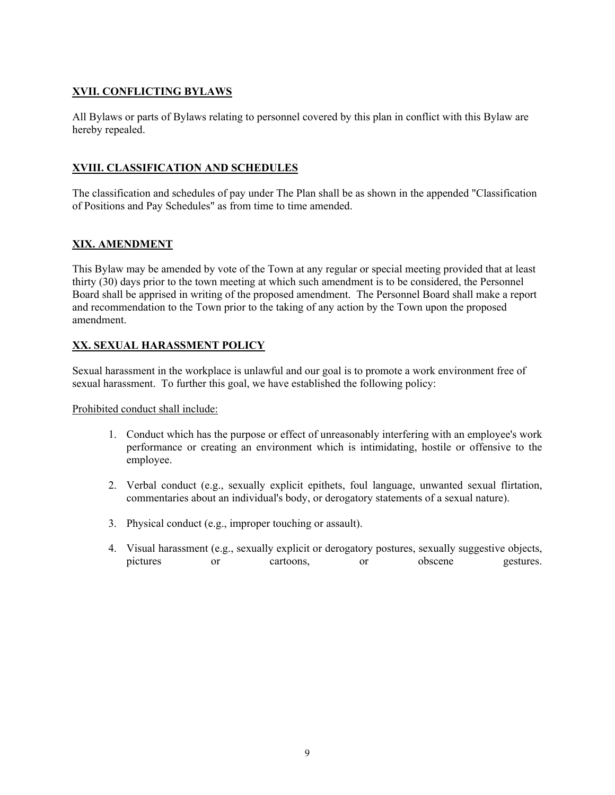#### **XVII. CONFLICTING BYLAWS**

All Bylaws or parts of Bylaws relating to personnel covered by this plan in conflict with this Bylaw are hereby repealed.

#### **XVIII. CLASSIFICATION AND SCHEDULES**

The classification and schedules of pay under The Plan shall be as shown in the appended "Classification of Positions and Pay Schedules" as from time to time amended.

#### **XIX. AMENDMENT**

This Bylaw may be amended by vote of the Town at any regular or special meeting provided that at least thirty (30) days prior to the town meeting at which such amendment is to be considered, the Personnel Board shall be apprised in writing of the proposed amendment. The Personnel Board shall make a report and recommendation to the Town prior to the taking of any action by the Town upon the proposed amendment.

#### **XX. SEXUAL HARASSMENT POLICY**

Sexual harassment in the workplace is unlawful and our goal is to promote a work environment free of sexual harassment. To further this goal, we have established the following policy:

Prohibited conduct shall include:

- 1. Conduct which has the purpose or effect of unreasonably interfering with an employee's work performance or creating an environment which is intimidating, hostile or offensive to the employee.
- 2. Verbal conduct (e.g., sexually explicit epithets, foul language, unwanted sexual flirtation, commentaries about an individual's body, or derogatory statements of a sexual nature).
- 3. Physical conduct (e.g., improper touching or assault).
- 4. Visual harassment (e.g., sexually explicit or derogatory postures, sexually suggestive objects, pictures or cartoons, or obscene gestures.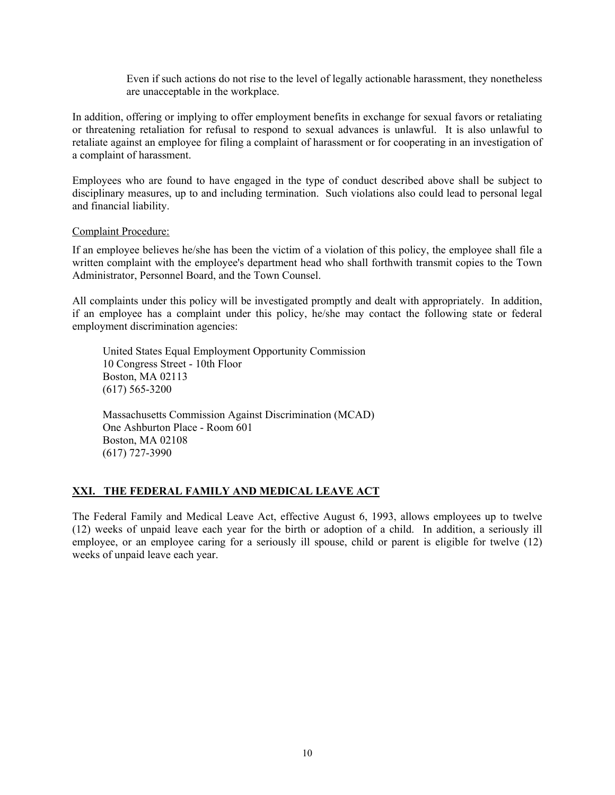Even if such actions do not rise to the level of legally actionable harassment, they nonetheless are unacceptable in the workplace.

In addition, offering or implying to offer employment benefits in exchange for sexual favors or retaliating or threatening retaliation for refusal to respond to sexual advances is unlawful. It is also unlawful to retaliate against an employee for filing a complaint of harassment or for cooperating in an investigation of a complaint of harassment.

Employees who are found to have engaged in the type of conduct described above shall be subject to disciplinary measures, up to and including termination. Such violations also could lead to personal legal and financial liability.

#### Complaint Procedure:

If an employee believes he/she has been the victim of a violation of this policy, the employee shall file a written complaint with the employee's department head who shall forthwith transmit copies to the Town Administrator, Personnel Board, and the Town Counsel.

All complaints under this policy will be investigated promptly and dealt with appropriately. In addition, if an employee has a complaint under this policy, he/she may contact the following state or federal employment discrimination agencies:

 United States Equal Employment Opportunity Commission 10 Congress Street - 10th Floor Boston, MA 02113 (617) 565-3200

 Massachusetts Commission Against Discrimination (MCAD) One Ashburton Place - Room 601 Boston, MA 02108 (617) 727-3990

#### **XXI. THE FEDERAL FAMILY AND MEDICAL LEAVE ACT**

The Federal Family and Medical Leave Act, effective August 6, 1993, allows employees up to twelve (12) weeks of unpaid leave each year for the birth or adoption of a child. In addition, a seriously ill employee, or an employee caring for a seriously ill spouse, child or parent is eligible for twelve (12) weeks of unpaid leave each year.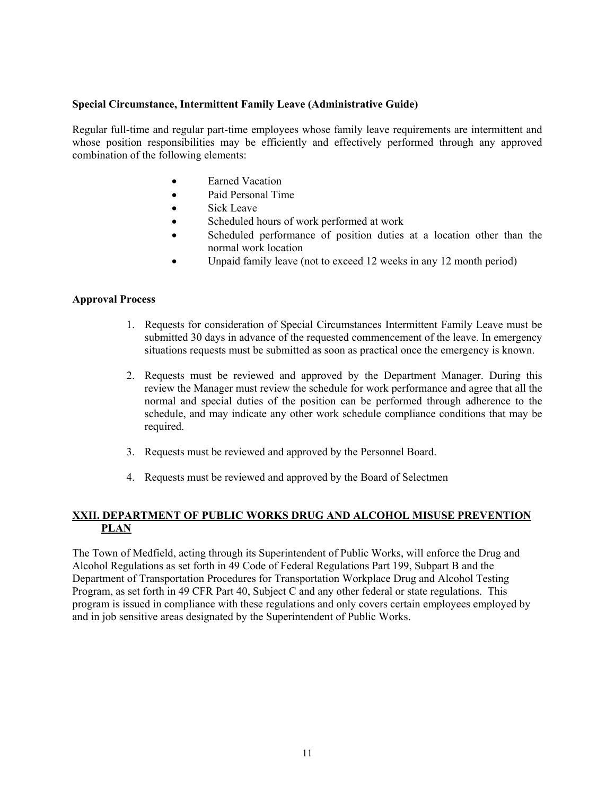#### **Special Circumstance, Intermittent Family Leave (Administrative Guide)**

Regular full-time and regular part-time employees whose family leave requirements are intermittent and whose position responsibilities may be efficiently and effectively performed through any approved combination of the following elements:

- Earned Vacation
- Paid Personal Time
- Sick Leave
- Scheduled hours of work performed at work
- Scheduled performance of position duties at a location other than the normal work location
- Unpaid family leave (not to exceed 12 weeks in any 12 month period)

#### **Approval Process**

- 1. Requests for consideration of Special Circumstances Intermittent Family Leave must be submitted 30 days in advance of the requested commencement of the leave. In emergency situations requests must be submitted as soon as practical once the emergency is known.
- 2. Requests must be reviewed and approved by the Department Manager. During this review the Manager must review the schedule for work performance and agree that all the normal and special duties of the position can be performed through adherence to the schedule, and may indicate any other work schedule compliance conditions that may be required.
- 3. Requests must be reviewed and approved by the Personnel Board.
- 4. Requests must be reviewed and approved by the Board of Selectmen

#### **XXII. DEPARTMENT OF PUBLIC WORKS DRUG AND ALCOHOL MISUSE PREVENTION PLAN**

The Town of Medfield, acting through its Superintendent of Public Works, will enforce the Drug and Alcohol Regulations as set forth in 49 Code of Federal Regulations Part 199, Subpart B and the Department of Transportation Procedures for Transportation Workplace Drug and Alcohol Testing Program, as set forth in 49 CFR Part 40, Subject C and any other federal or state regulations. This program is issued in compliance with these regulations and only covers certain employees employed by and in job sensitive areas designated by the Superintendent of Public Works.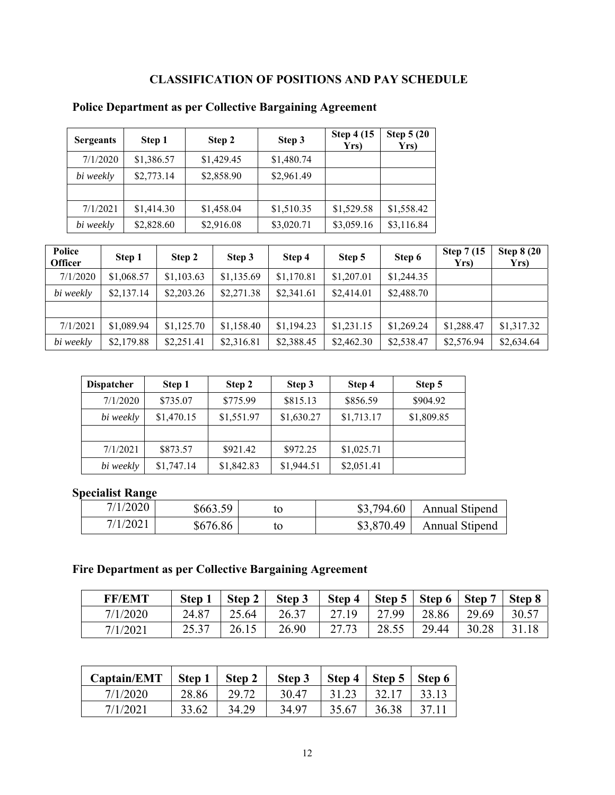## **CLASSIFICATION OF POSITIONS AND PAY SCHEDULE**

| <b>Sergeants</b> | Step 1     | Step 2     | Step 3     | <b>Step 4 (15)</b><br>Yrs) | <b>Step 5 (20)</b><br>Yrs) |
|------------------|------------|------------|------------|----------------------------|----------------------------|
| 7/1/2020         | \$1,386.57 | \$1,429.45 | \$1,480.74 |                            |                            |
| bi weekly        | \$2,773.14 | \$2,858.90 | \$2,961.49 |                            |                            |
|                  |            |            |            |                            |                            |
| 7/1/2021         | \$1,414.30 | \$1,458.04 | \$1,510.35 | \$1,529.58                 | \$1,558.42                 |
| bi weekly        | \$2,828.60 | \$2,916.08 | \$3,020.71 | \$3,059.16                 | \$3,116.84                 |

### **Police Department as per Collective Bargaining Agreement**

| Police<br><b>Officer</b> | Step 1     | Step 2     | Step 3     | Step 4     | Step 5     | Step 6     | <b>Step 7 (15)</b><br>Yrs) | <b>Step 8 (20)</b><br>Yrs) |
|--------------------------|------------|------------|------------|------------|------------|------------|----------------------------|----------------------------|
| 7/1/2020                 | \$1,068.57 | \$1,103.63 | \$1,135.69 | \$1,170.81 | \$1,207.01 | \$1,244.35 |                            |                            |
| bi weekly                | \$2,137.14 | \$2,203.26 | \$2,271.38 | \$2,341.61 | \$2,414.01 | \$2,488.70 |                            |                            |
|                          |            |            |            |            |            |            |                            |                            |
| 7/1/2021                 | \$1,089.94 | \$1,125.70 | \$1,158.40 | \$1,194.23 | \$1,231.15 | \$1,269.24 | \$1,288.47                 | \$1,317.32                 |
| bi weekly                | \$2,179.88 | \$2,251.41 | \$2,316.81 | \$2,388.45 | \$2,462.30 | \$2,538.47 | \$2,576.94                 | \$2,634.64                 |

| <b>Dispatcher</b> | Step 1     | Step 2     | Step 3     | Step 4     | Step 5     |
|-------------------|------------|------------|------------|------------|------------|
| 7/1/2020          | \$735.07   | \$775.99   | \$815.13   | \$856.59   | \$904.92   |
| bi weekly         | \$1,470.15 | \$1,551.97 | \$1,630.27 | \$1,713.17 | \$1,809.85 |
|                   |            |            |            |            |            |
| 7/1/2021          | \$873.57   | \$921.42   | \$972.25   | \$1,025.71 |            |
| bi weekly         | \$1,747.14 | \$1,842.83 | \$1,944.51 | \$2,051.41 |            |

### **Specialist Range**

| 7/1/2020 | \$663.59 | \$3,794.60 | <b>Annual Stipend</b> |
|----------|----------|------------|-----------------------|
| 7/1/2021 | \$676.86 | \$3,870.49 | <b>Annual Stipend</b> |

# **Fire Department as per Collective Bargaining Agreement**

| <b>FF/EMT</b> | <b>Step</b> | <b>Step</b> | Step 3 | Step 4 | Step 5 | Step 6 | <b>Step</b> | Step 8 |
|---------------|-------------|-------------|--------|--------|--------|--------|-------------|--------|
| 7/1/2020      | 24.87       | 25.64       | 26.37  | 27.19  | 27.99  | 28.86  | 29.69       | 30.57  |
| 7/1/2021      | 25.37       | 26.15       | 26.90  | 27.73  | 28.55  | 29.44  | 30.28       | 31.18  |

| Captain/EMT | <b>Step</b> | Step 2 | Step 3 | Step 4 | Step 5 | Step 6 |
|-------------|-------------|--------|--------|--------|--------|--------|
| 7/1/2020    | 28.86       | 29.72  | 30.47  | 31.23  | 32.17  | 33.13  |
| 7/1/2021    | 33.62       | 34.29  | 34.97  | 35.67  | 36.38  |        |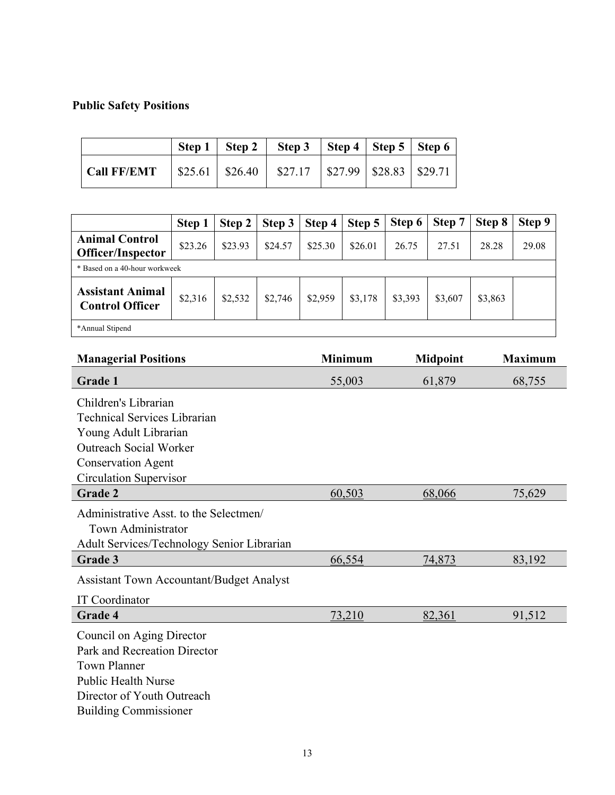# **Public Safety Positions**

|                    |  | Step 1   Step 2   Step 3   Step 4   Step 5   Step 6               |  |  |
|--------------------|--|-------------------------------------------------------------------|--|--|
| <b>Call FF/EMT</b> |  | $\vert$ \$25.61   \$26.40   \$27.17   \$27.99   \$28.83   \$29.71 |  |  |

|                                                                                                                                           | Step 1  | Step 2  | Step 3  | Step 4  | Step 5  | Step 6 | Step 7 | Step 8 | Step 9 |
|-------------------------------------------------------------------------------------------------------------------------------------------|---------|---------|---------|---------|---------|--------|--------|--------|--------|
| <b>Animal Control</b><br>Officer/Inspector                                                                                                | \$23.26 | \$23.93 | \$24.57 | \$25.30 | \$26.01 | 26.75  | 27.51  | 28.28  | 29.08  |
| * Based on a 40-hour workweek                                                                                                             |         |         |         |         |         |        |        |        |        |
| <b>Assistant Animal</b><br>\$2,532<br>\$2,746<br>\$2,959<br>\$3,178<br>\$3,393<br>\$2,316<br>\$3,863<br>\$3,607<br><b>Control Officer</b> |         |         |         |         |         |        |        |        |        |
| *Annual Stipend                                                                                                                           |         |         |         |         |         |        |        |        |        |

| <b>Managerial Positions</b>                     | <b>Minimum</b> | <b>Midpoint</b> | <b>Maximum</b> |
|-------------------------------------------------|----------------|-----------------|----------------|
| <b>Grade 1</b>                                  | 55,003         | 61,879          | 68,755         |
| Children's Librarian                            |                |                 |                |
| <b>Technical Services Librarian</b>             |                |                 |                |
| Young Adult Librarian                           |                |                 |                |
| <b>Outreach Social Worker</b>                   |                |                 |                |
| <b>Conservation Agent</b>                       |                |                 |                |
| Circulation Supervisor                          |                |                 |                |
| Grade 2                                         | 60,503         | 68,066          | 75,629         |
| Administrative Asst. to the Selectmen/          |                |                 |                |
| Town Administrator                              |                |                 |                |
| Adult Services/Technology Senior Librarian      |                |                 |                |
| Grade 3                                         | 66,554         | <u>74,873</u>   | 83,192         |
| <b>Assistant Town Accountant/Budget Analyst</b> |                |                 |                |
| IT Coordinator                                  |                |                 |                |
| Grade 4                                         | 73,210         | 82,361          | 91,512         |
| Council on Aging Director                       |                |                 |                |
| Park and Recreation Director                    |                |                 |                |
| <b>Town Planner</b>                             |                |                 |                |
| Public Health Nurse                             |                |                 |                |
| Director of Youth Outreach                      |                |                 |                |
| <b>Building Commissioner</b>                    |                |                 |                |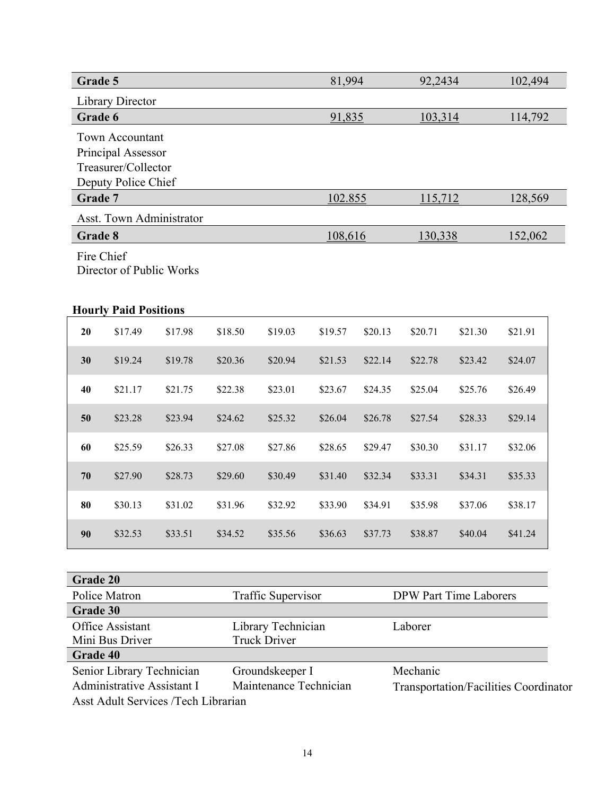| Grade 5                 |                                                          |         |         |         | 81,994  |         | 92,2434 |         | 102,494 |  |
|-------------------------|----------------------------------------------------------|---------|---------|---------|---------|---------|---------|---------|---------|--|
| <b>Library Director</b> |                                                          |         |         |         |         |         |         |         |         |  |
| Grade 6                 |                                                          |         |         |         | 91,835  |         | 103,314 |         | 114,792 |  |
|                         | Town Accountant                                          |         |         |         |         |         |         |         |         |  |
|                         | Principal Assessor                                       |         |         |         |         |         |         |         |         |  |
|                         | Treasurer/Collector                                      |         |         |         |         |         |         |         |         |  |
|                         | Deputy Police Chief                                      |         |         |         |         |         |         |         |         |  |
| Grade 7                 |                                                          |         |         |         | 102.855 |         | 115,712 |         | 128,569 |  |
|                         | <b>Asst. Town Administrator</b>                          |         |         |         |         |         |         |         |         |  |
| Grade 8                 |                                                          |         |         |         | 108,616 |         | 130,338 |         | 152,062 |  |
| Fire Chief              | Director of Public Works<br><b>Hourly Paid Positions</b> |         |         |         |         |         |         |         |         |  |
| 20                      | \$17.49                                                  | \$17.98 | \$18.50 | \$19.03 | \$19.57 | \$20.13 | \$20.71 | \$21.30 | \$21.91 |  |
| 30                      | \$19.24                                                  | \$19.78 | \$20.36 | \$20.94 | \$21.53 | \$22.14 | \$22.78 | \$23.42 | \$24.07 |  |
| 40                      | \$21.17                                                  | \$21.75 | \$22.38 | \$23.01 | \$23.67 | \$24.35 | \$25.04 | \$25.76 | \$26.49 |  |
| 50                      | \$23.28                                                  | \$23.94 | \$24.62 | \$25.32 | \$26.04 | \$26.78 | \$27.54 | \$28.33 | \$29.14 |  |
| 60                      | \$25.59                                                  | \$26.33 | \$27.08 | \$27.86 | \$28.65 | \$29.47 | \$30.30 | \$31.17 | \$32.06 |  |
| 70                      | \$27.90                                                  | \$28.73 | \$29.60 | \$30.49 | \$31.40 | \$32.34 | \$33.31 | \$34.31 | \$35.33 |  |
| 80                      | \$30.13                                                  | \$31.02 | \$31.96 | \$32.92 | \$33.90 | \$34.91 | \$35.98 | \$37.06 | \$38.17 |  |
| 90                      | \$32.53                                                  | \$33.51 | \$34.52 | \$35.56 | \$36.63 | \$37.73 | \$38.87 | \$40.04 | \$41.24 |  |

| Grade 20                            |                        |                                              |
|-------------------------------------|------------------------|----------------------------------------------|
| Police Matron                       | Traffic Supervisor     | <b>DPW Part Time Laborers</b>                |
| Grade 30                            |                        |                                              |
| Office Assistant                    | Library Technician     | Laborer                                      |
| Mini Bus Driver                     | <b>Truck Driver</b>    |                                              |
| Grade 40                            |                        |                                              |
| Senior Library Technician           | Groundskeeper I        | Mechanic                                     |
| Administrative Assistant I          | Maintenance Technician | <b>Transportation/Facilities Coordinator</b> |
| Asst Adult Services /Tech Librarian |                        |                                              |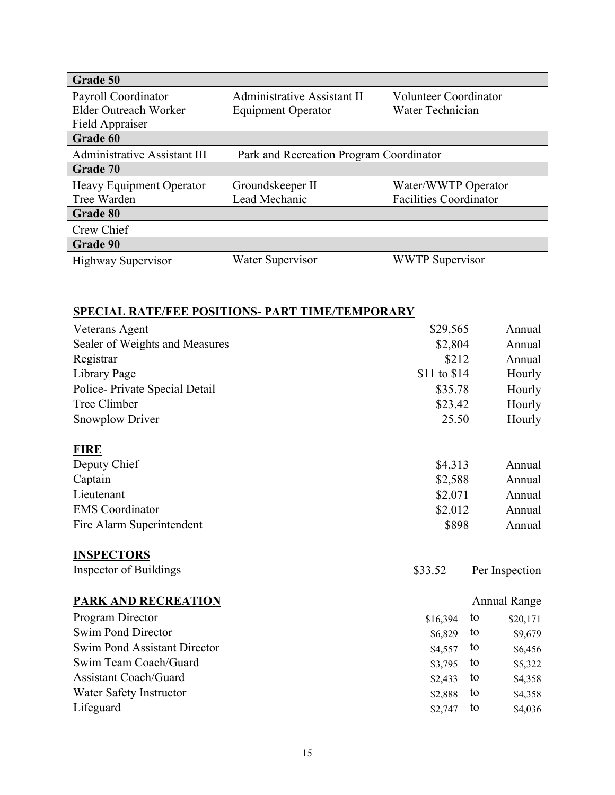| Grade 50                     |                                         |                               |  |
|------------------------------|-----------------------------------------|-------------------------------|--|
| Payroll Coordinator          | <b>Administrative Assistant II</b>      | Volunteer Coordinator         |  |
| Elder Outreach Worker        | <b>Equipment Operator</b>               | Water Technician              |  |
| Field Appraiser              |                                         |                               |  |
| Grade 60                     |                                         |                               |  |
| Administrative Assistant III | Park and Recreation Program Coordinator |                               |  |
| Grade 70                     |                                         |                               |  |
| Heavy Equipment Operator     | Groundskeeper II                        | Water/WWTP Operator           |  |
| Tree Warden                  | Lead Mechanic                           | <b>Facilities Coordinator</b> |  |
| <b>Grade 80</b>              |                                         |                               |  |
| Crew Chief                   |                                         |                               |  |
| Grade 90                     |                                         |                               |  |
| <b>Highway Supervisor</b>    | Water Supervisor                        | <b>WWTP</b> Supervisor        |  |

# **SPECIAL RATE/FEE POSITIONS- PART TIME/TEMPORARY**

| Veterans Agent                      | \$29,565     |    | Annual              |
|-------------------------------------|--------------|----|---------------------|
| Sealer of Weights and Measures      | \$2,804      |    | Annual              |
| Registrar                           | \$212        |    | Annual              |
| Library Page                        | \$11 to \$14 |    | Hourly              |
| Police-Private Special Detail       | \$35.78      |    | Hourly              |
| Tree Climber                        | \$23.42      |    | Hourly              |
| Snowplow Driver                     | 25.50        |    | Hourly              |
| <b>FIRE</b>                         |              |    |                     |
| Deputy Chief                        | \$4,313      |    | Annual              |
| Captain                             | \$2,588      |    | Annual              |
| Lieutenant                          | \$2,071      |    | Annual              |
| <b>EMS</b> Coordinator              | \$2,012      |    | Annual              |
| Fire Alarm Superintendent           | \$898        |    | Annual              |
| <b>INSPECTORS</b>                   |              |    |                     |
| <b>Inspector of Buildings</b>       | \$33.52      |    | Per Inspection      |
| <b>PARK AND RECREATION</b>          |              |    | <b>Annual Range</b> |
| Program Director                    | \$16,394     | to | \$20,171            |
| <b>Swim Pond Director</b>           | \$6,829      | to | \$9,679             |
| <b>Swim Pond Assistant Director</b> | \$4,557      | to | \$6,456             |
| Swim Team Coach/Guard               | \$3,795      | to | \$5,322             |
| <b>Assistant Coach/Guard</b>        | \$2,433      | to | \$4,358             |
| Water Safety Instructor             | \$2,888      | to | \$4,358             |
| Lifeguard                           | \$2,747      | to | \$4,036             |